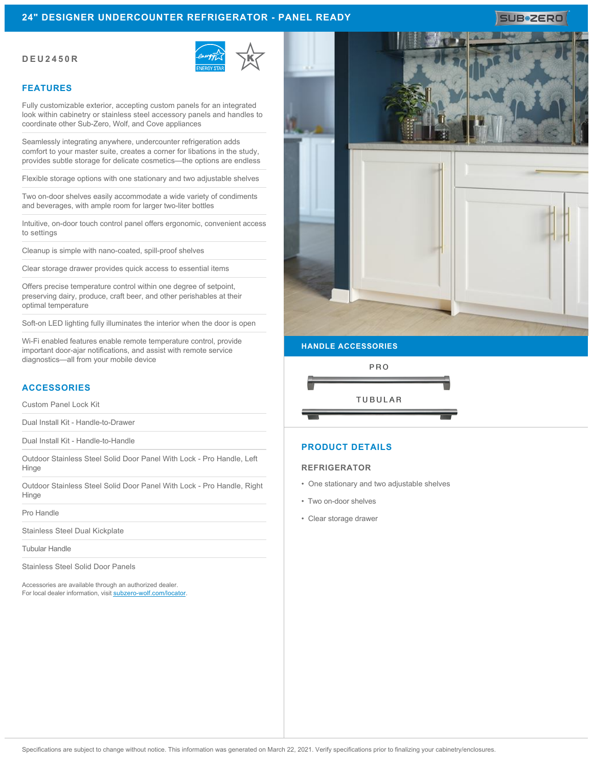## **24" DESIGNER UNDERCOUNTER REFRIGERATOR - PANEL READY**

#### **DEU2450R**



#### **FEATURES**

Fully customizable exterior, accepting custom panels for an integrated look within cabinetry or stainless steel accessory panels and handles to coordinate other Sub-Zero, Wolf, and Cove appliances

Seamlessly integrating anywhere, undercounter refrigeration adds comfort to your master suite, creates a corner for libations in the study, provides subtle storage for delicate cosmetics—the options are endless

Flexible storage options with one stationary and two adjustable shelves

Two on-door shelves easily accommodate a wide variety of condiments and beverages, with ample room for larger two-liter bottles

Intuitive, on-door touch control panel offers ergonomic, convenient access to settings

Cleanup is simple with nano-coated, spill-proof shelves

Clear storage drawer provides quick access to essential items

Offers precise temperature control within one degree of setpoint, preserving dairy, produce, craft beer, and other perishables at their optimal temperature

Soft-on LED lighting fully illuminates the interior when the door is open

Wi-Fi enabled features enable remote temperature control, provide important door-ajar notifications, and assist with remote service diagnostics—all from your mobile device

### **ACCESSORIES**

Custom Panel Lock Kit

Dual Install Kit - Handle-to-Drawer

Dual Install Kit - Handle-to-Handle

Outdoor Stainless Steel Solid Door Panel With Lock - Pro Handle, Left Hinge

Outdoor Stainless Steel Solid Door Panel With Lock - Pro Handle, Right Hinge

Pro Handle

Stainless Steel Dual Kickplate

Tubular Handle

Stainless Steel Solid Door Panels

Accessories are available through an authorized dealer. For local dealer information, visit [subzero-wolf.com/locator.](http://www.subzero-wolf.com/locator)



# **HANDLE ACCESSORIES**



### **PRODUCT DETAILS**

#### **REFRIGERATOR**

- One stationary and two adjustable shelves
- Two on-door shelves
- Clear storage drawer

# SUB**\*2ERO**